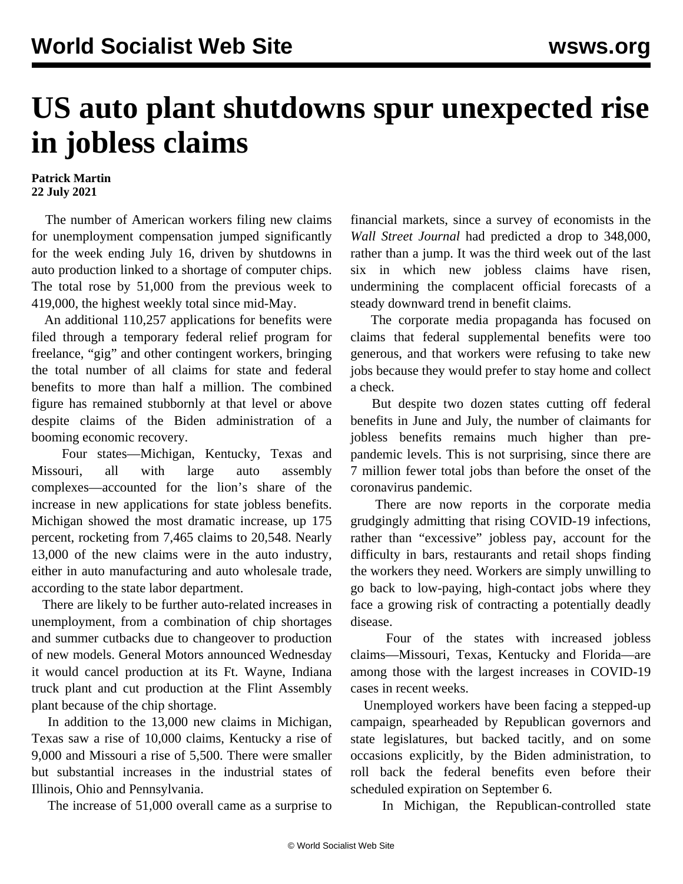## **US auto plant shutdowns spur unexpected rise in jobless claims**

## **Patrick Martin 22 July 2021**

 The number of American workers filing new claims for unemployment compensation jumped significantly for the week ending July 16, driven by shutdowns in auto production linked to a shortage of computer chips. The total rose by 51,000 from the previous week to 419,000, the highest weekly total since mid-May.

 An additional 110,257 applications for benefits were filed through a temporary federal relief program for freelance, "gig" and other contingent workers, bringing the total number of all claims for state and federal benefits to more than half a million. The combined figure has remained stubbornly at that level or above despite claims of the Biden administration of a booming economic recovery.

 Four states—Michigan, Kentucky, Texas and Missouri, all with large auto assembly complexes—accounted for the lion's share of the increase in new applications for state jobless benefits. Michigan showed the most dramatic increase, up 175 percent, rocketing from 7,465 claims to 20,548. Nearly 13,000 of the new claims were in the auto industry, either in auto manufacturing and auto wholesale trade, according to the state labor department.

 There are likely to be further auto-related increases in unemployment, from a combination of chip shortages and summer cutbacks due to changeover to production of new models. General Motors announced Wednesday it would cancel production at its Ft. Wayne, Indiana truck plant and cut production at the Flint Assembly plant because of the chip shortage.

 In addition to the 13,000 new claims in Michigan, Texas saw a rise of 10,000 claims, Kentucky a rise of 9,000 and Missouri a rise of 5,500. There were smaller but substantial increases in the industrial states of Illinois, Ohio and Pennsylvania.

The increase of 51,000 overall came as a surprise to

financial markets, since a survey of economists in the *Wall Street Journal* had predicted a drop to 348,000, rather than a jump. It was the third week out of the last six in which new jobless claims have risen, undermining the complacent official forecasts of a steady downward trend in benefit claims.

 The corporate media propaganda has focused on claims that federal supplemental benefits were too generous, and that workers were refusing to take new jobs because they would prefer to stay home and collect a check.

 But despite two dozen states cutting off federal benefits in June and July, the number of claimants for jobless benefits remains much higher than prepandemic levels. This is not surprising, since there are 7 million fewer total jobs than before the onset of the coronavirus pandemic.

 There are now reports in the corporate media grudgingly admitting that rising COVID-19 infections, rather than "excessive" jobless pay, account for the difficulty in bars, restaurants and retail shops finding the workers they need. Workers are simply unwilling to go back to low-paying, high-contact jobs where they face a growing risk of contracting a potentially deadly disease.

 Four of the states with increased jobless claims—Missouri, Texas, Kentucky and Florida—are among those with the largest increases in COVID-19 cases in recent weeks.

 Unemployed workers have been facing a stepped-up campaign, spearheaded by Republican governors and state legislatures, but backed tacitly, and on some occasions explicitly, by the Biden administration, to roll back the federal benefits even before their scheduled expiration on September 6.

In Michigan, the Republican-controlled state